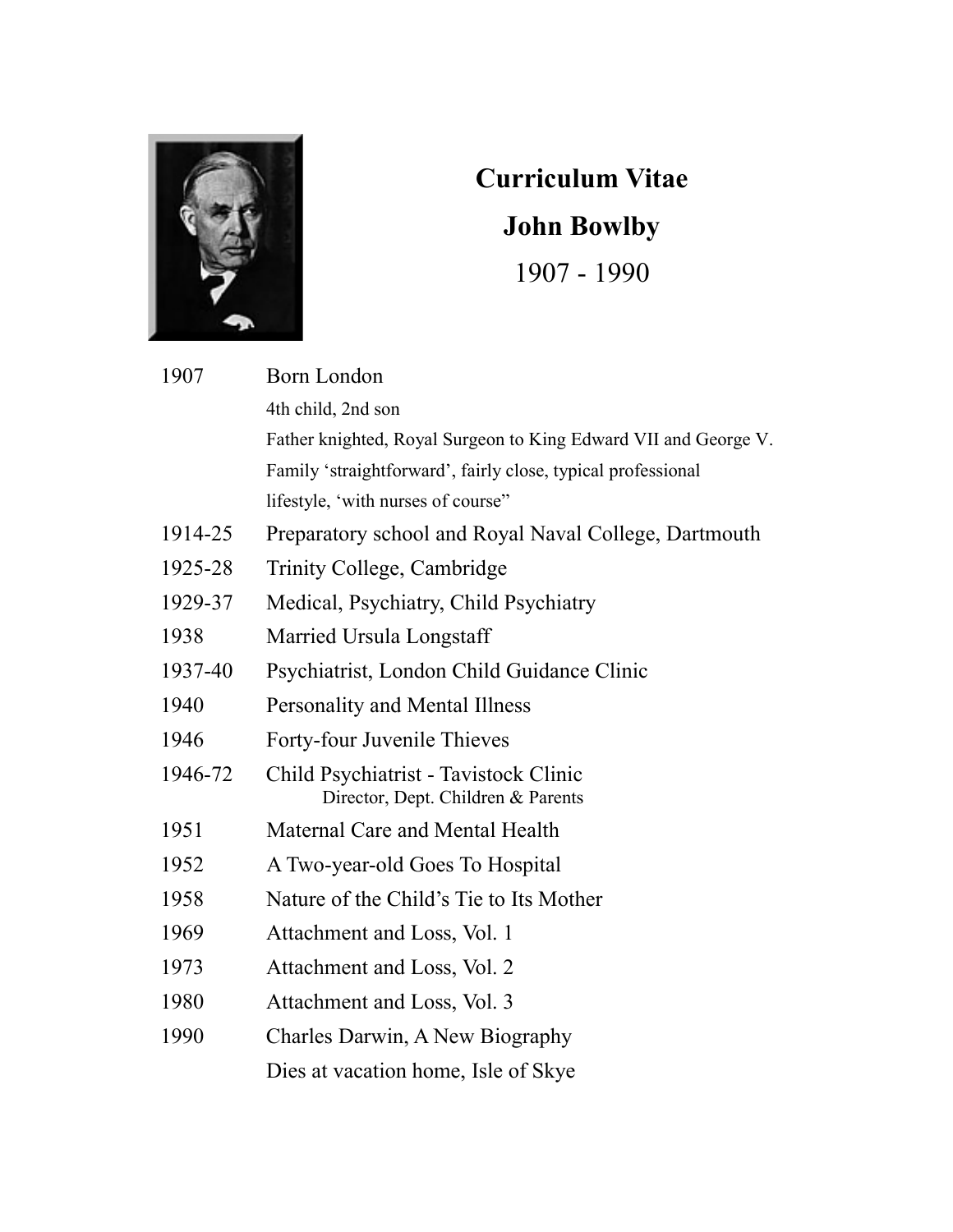

## **Curriculum Vitae John Bowlby** 1907 - 1990

| 1907    | <b>Born London</b>                                                          |
|---------|-----------------------------------------------------------------------------|
|         | 4th child, 2nd son                                                          |
|         | Father knighted, Royal Surgeon to King Edward VII and George V.             |
|         | Family 'straightforward', fairly close, typical professional                |
|         | lifestyle, 'with nurses of course''                                         |
| 1914-25 | Preparatory school and Royal Naval College, Dartmouth                       |
| 1925-28 | Trinity College, Cambridge                                                  |
| 1929-37 | Medical, Psychiatry, Child Psychiatry                                       |
| 1938    | Married Ursula Longstaff                                                    |
| 1937-40 | Psychiatrist, London Child Guidance Clinic                                  |
| 1940    | Personality and Mental Illness                                              |
| 1946    | Forty-four Juvenile Thieves                                                 |
| 1946-72 | Child Psychiatrist - Tavistock Clinic<br>Director, Dept. Children & Parents |
| 1951    | Maternal Care and Mental Health                                             |
| 1952    | A Two-year-old Goes To Hospital                                             |
| 1958    | Nature of the Child's Tie to Its Mother                                     |
| 1969    | Attachment and Loss, Vol. 1                                                 |
| 1973    | Attachment and Loss, Vol. 2                                                 |
| 1980    | Attachment and Loss, Vol. 3                                                 |
| 1990    | Charles Darwin, A New Biography                                             |
|         | Dies at vacation home, Isle of Skye                                         |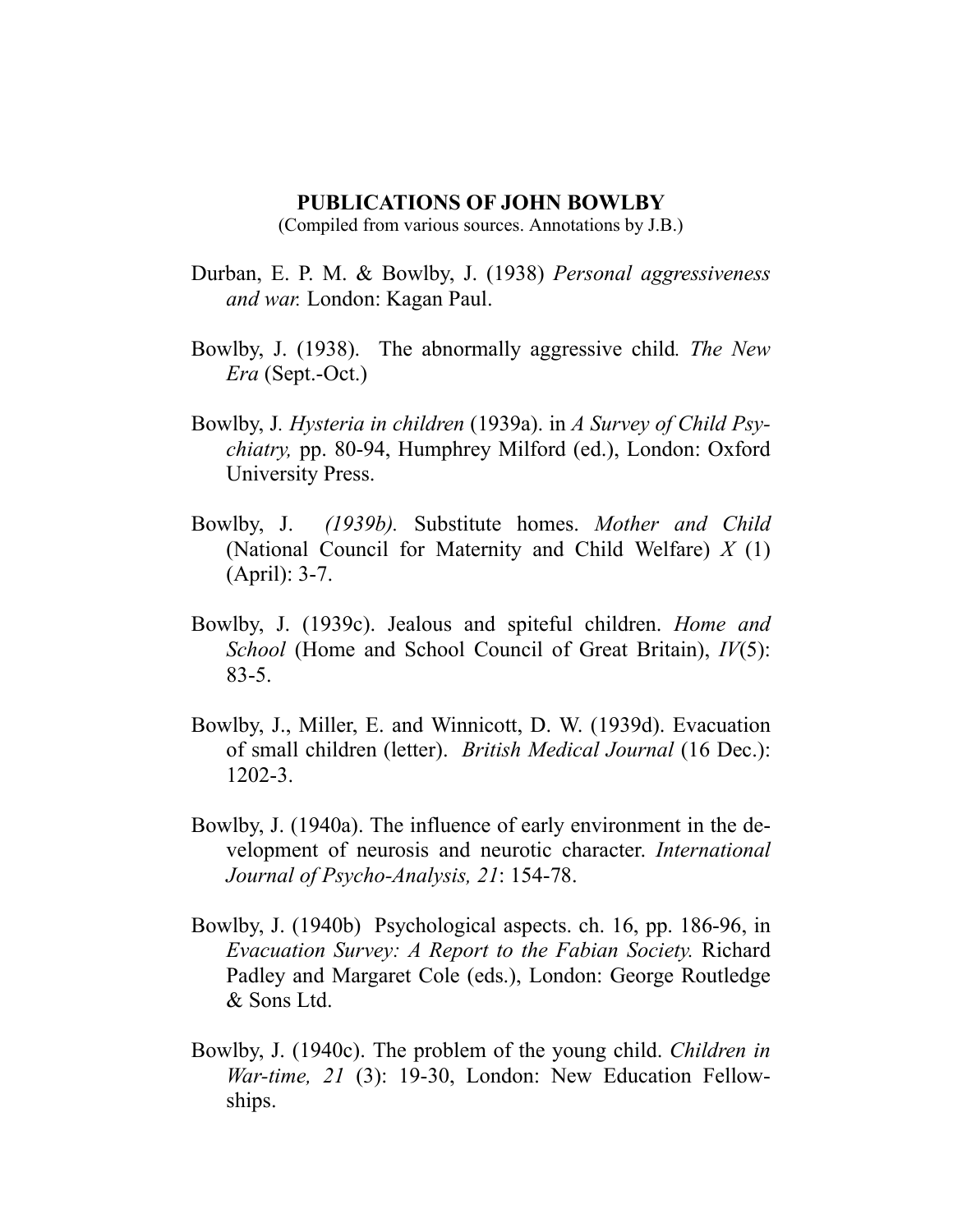## **PUBLICATIONS OF JOHN BOWLBY**

(Compiled from various sources. Annotations by J.B.)

- Durban, E. P. M. & Bowlby, J. (1938) *Personal aggressiveness and war.* London: Kagan Paul.
- Bowlby, J. (1938). The abnormally aggressive child*. The New Era* (Sept.-Oct.)
- Bowlby, J*. Hysteria in children* (1939a). in *A Survey of Child Psychiatry,* pp. 80-94, Humphrey Milford (ed.), London: Oxford University Press.
- Bowlby, J. *(1939b).* Substitute homes. *Mother and Child*  (National Council for Maternity and Child Welfare) *X* (1) (April): 3-7.
- Bowlby, J. (1939c). Jealous and spiteful children. *Home and School* (Home and School Council of Great Britain), *IV*(5): 83-5.
- Bowlby, J., Miller, E. and Winnicott, D. W. (1939d). Evacuation of small children (letter). *British Medical Journal* (16 Dec.): 1202-3.
- Bowlby, J. (1940a). The influence of early environment in the development of neurosis and neurotic character. *International Journal of Psycho-Analysis, 21*: 154-78.
- Bowlby, J. (1940b) Psychological aspects. ch. 16, pp. 186-96, in *Evacuation Survey: A Report to the Fabian Society.* Richard Padley and Margaret Cole (eds.), London: George Routledge & Sons Ltd.
- Bowlby, J. (1940c). The problem of the young child. *Children in War-time, 21* (3): 19-30, London: New Education Fellowships.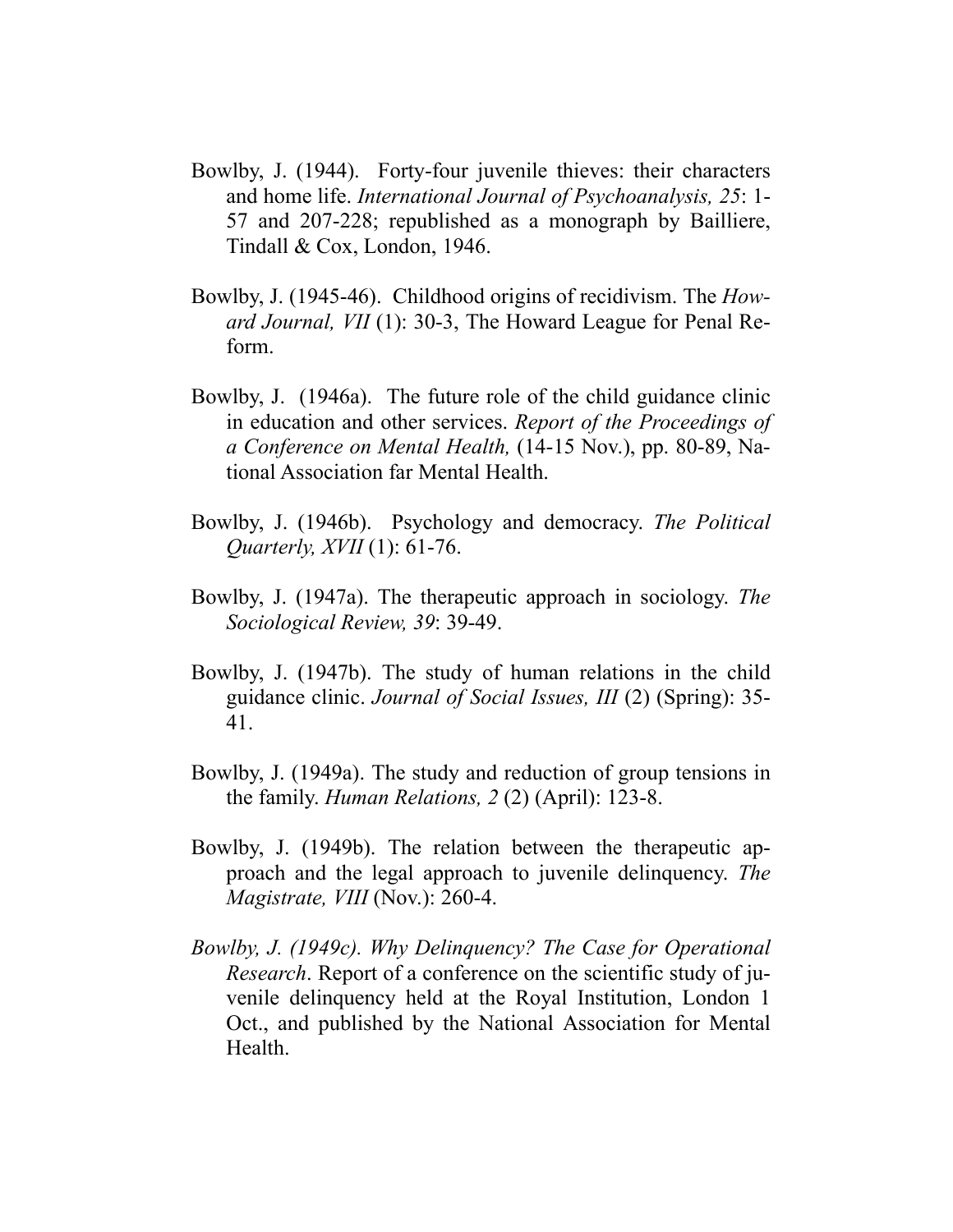- Bowlby, J. (1944). Forty-four juvenile thieves: their characters and home life. *International Journal of Psychoanalysis, 25*: 1- 57 and 207-228; republished as a monograph by Bailliere, Tindall & Cox, London, 1946.
- Bowlby, J. (1945-46). Childhood origins of recidivism. The *Howard Journal, VII* (1): 30-3, The Howard League for Penal Reform.
- Bowlby, J. (1946a). The future role of the child guidance clinic in education and other services. *Report of the Proceedings of a Conference on Mental Health,* (14-15 Nov.), pp. 80-89, National Association far Mental Health.
- Bowlby, J. (1946b). Psychology and democracy. *The Political Quarterly, XVII* (1): 61-76.
- Bowlby, J. (1947a). The therapeutic approach in sociology. *The Sociological Review, 39*: 39-49.
- Bowlby, J. (1947b). The study of human relations in the child guidance clinic. *Journal of Social Issues, III* (2) (Spring): 35- 41.
- Bowlby, J. (1949a). The study and reduction of group tensions in the family. *Human Relations, 2* (2) (April): 123-8.
- Bowlby, J. (1949b). The relation between the therapeutic approach and the legal approach to juvenile delinquency. *The Magistrate, VIII* (Nov.): 260-4.
- *Bowlby, J. (1949c). Why Delinquency? The Case for Operational Research*. Report of a conference on the scientific study of juvenile delinquency held at the Royal Institution, London 1 Oct., and published by the National Association for Mental Health.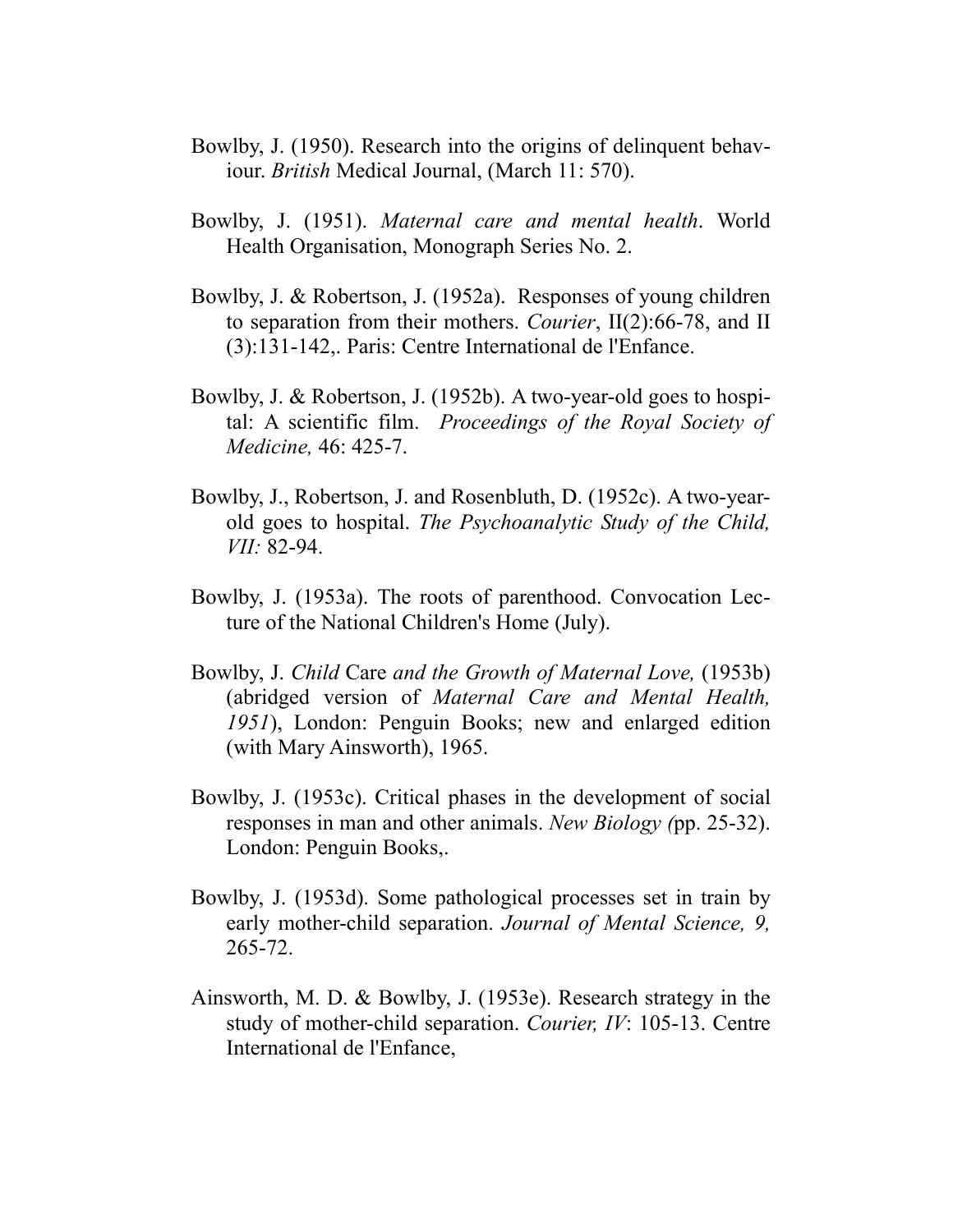- Bowlby, J. (1950). Research into the origins of delinquent behaviour. *British* Medical Journal, (March 11: 570).
- Bowlby, J. (1951). *Maternal care and mental health*. World Health Organisation, Monograph Series No. 2.
- Bowlby, J. & Robertson, J. (1952a). Responses of young children to separation from their mothers. *Courier*, II(2):66-78, and II (3):131-142,. Paris: Centre International de l'Enfance.
- Bowlby, J. & Robertson, J. (1952b). A two-year-old goes to hospital: A scientific film. *Proceedings of the Royal Society of Medicine,* 46: 425-7.
- Bowlby, J., Robertson, J. and Rosenbluth, D. (1952c). A two-yearold goes to hospital. *The Psychoanalytic Study of the Child, VII:* 82-94.
- Bowlby, J. (1953a). The roots of parenthood. Convocation Lecture of the National Children's Home (July).
- Bowlby, J. *Child* Care *and the Growth of Maternal Love,* (1953b) (abridged version of *Maternal Care and Mental Health, 1951*), London: Penguin Books; new and enlarged edition (with Mary Ainsworth), 1965.
- Bowlby, J. (1953c). Critical phases in the development of social responses in man and other animals. *New Biology (*pp. 25-32). London: Penguin Books,.
- Bowlby, J. (1953d). Some pathological processes set in train by early mother-child separation. *Journal of Mental Science, 9,* 265-72.
- Ainsworth, M. D. & Bowlby, J. (1953e). Research strategy in the study of mother-child separation. *Courier, IV*: 105-13. Centre International de l'Enfance,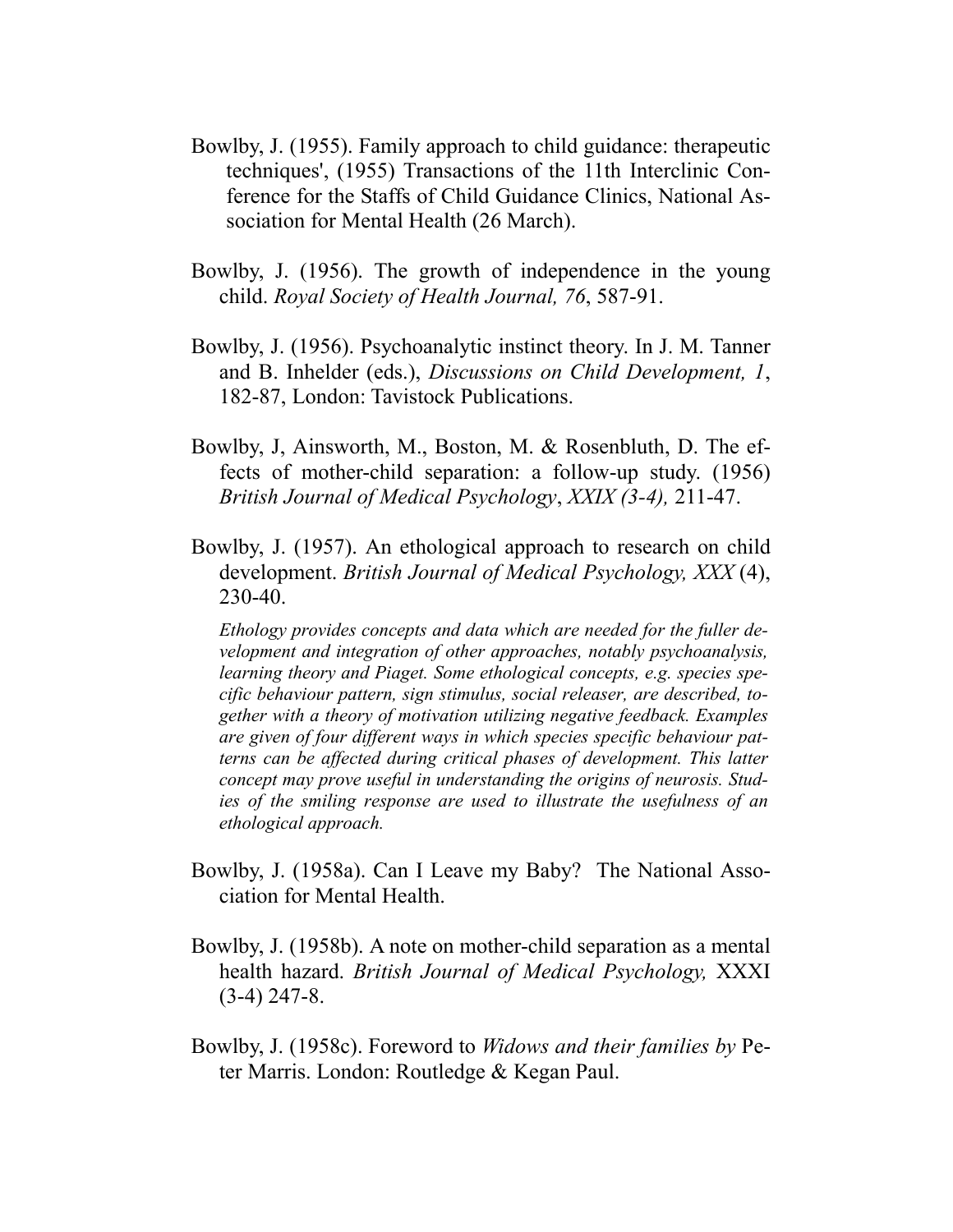- Bowlby, J. (1955). Family approach to child guidance: therapeutic techniques', (1955) Transactions of the 11th Interclinic Conference for the Staffs of Child Guidance Clinics, National Association for Mental Health (26 March).
- Bowlby, J. (1956). The growth of independence in the young child. *Royal Society of Health Journal, 76*, 587-91.
- Bowlby, J. (1956). Psychoanalytic instinct theory. In J. M. Tanner and B. Inhelder (eds.), *Discussions on Child Development, 1*, 182-87, London: Tavistock Publications.
- Bowlby, J, Ainsworth, M., Boston, M. & Rosenbluth, D. The effects of mother-child separation: a follow-up study. (1956) *British Journal of Medical Psychology*, *XXIX (3-4),* 211-47.
- Bowlby, J. (1957). An ethological approach to research on child development. *British Journal of Medical Psychology, XXX* (4), 230-40.

*Ethology provides concepts and data which are needed for the fuller development and integration of other approaches, notably psychoanalysis, learning theory and Piaget. Some ethological concepts, e.g. species specific behaviour pattern, sign stimulus, social releaser, are described, together with a theory of motivation utilizing negative feedback. Examples are given of four different ways in which species specific behaviour patterns can be affected during critical phases of development. This latter concept may prove useful in understanding the origins of neurosis. Studies of the smiling response are used to illustrate the usefulness of an ethological approach.* 

- Bowlby, J. (1958a). Can I Leave my Baby? The National Association for Mental Health.
- Bowlby, J. (1958b). A note on mother-child separation as a mental health hazard. *British Journal of Medical Psychology,* XXXI (3-4) 247-8.
- Bowlby, J. (1958c). Foreword to *Widows and their families by* Peter Marris. London: Routledge & Kegan Paul.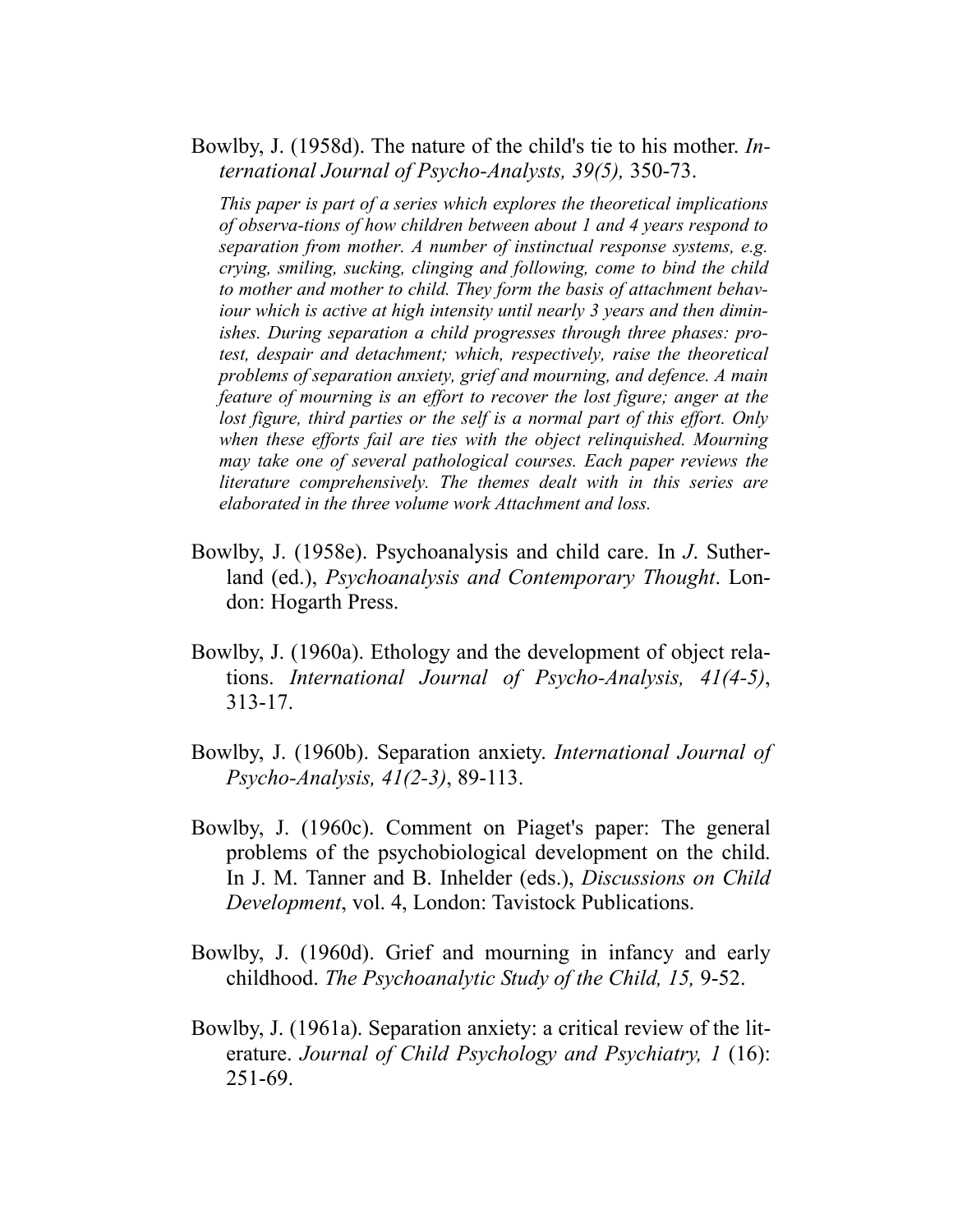Bowlby, J. (1958d). The nature of the child's tie to his mother. *International Journal of Psycho-Analysts, 39(5),* 350-73.

*This paper is part of a series which explores the theoretical implications of observa-tions of how children between about 1 and 4 years respond to separation from mother. A number of instinctual response systems, e.g. crying, smiling, sucking, clinging and following, come to bind the child to mother and mother to child. They form the basis of attachment behaviour which is active at high intensity until nearly 3 years and then diminishes. During separation a child progresses through three phases: protest, despair and detachment; which, respectively, raise the theoretical problems of separation anxiety, grief and mourning, and defence. A main feature of mourning is an effort to recover the lost figure; anger at the*  lost figure, third parties or the self is a normal part of this effort. Only *when these efforts fail are ties with the object relinquished. Mourning may take one of several pathological courses. Each paper reviews the literature comprehensively. The themes dealt with in this series are elaborated in the three volume work Attachment and loss.* 

- Bowlby, J. (1958e). Psychoanalysis and child care. In *J*. Sutherland (ed.), *Psychoanalysis and Contemporary Thought*. London: Hogarth Press.
- Bowlby, J. (1960a). Ethology and the development of object relations. *International Journal of Psycho-Analysis, 41(4-5)*, 313-17.
- Bowlby, J. (1960b). Separation anxiety. *International Journal of Psycho-Analysis, 41(2-3)*, 89-113.
- Bowlby, J. (1960c). Comment on Piaget's paper: The general problems of the psychobiological development on the child. In J. M. Tanner and B. Inhelder (eds.), *Discussions on Child Development*, vol. 4, London: Tavistock Publications.
- Bowlby, J. (1960d). Grief and mourning in infancy and early childhood. *The Psychoanalytic Study of the Child, 15,* 9-52.
- Bowlby, J. (1961a). Separation anxiety: a critical review of the literature. *Journal of Child Psychology and Psychiatry, 1* (16): 251-69.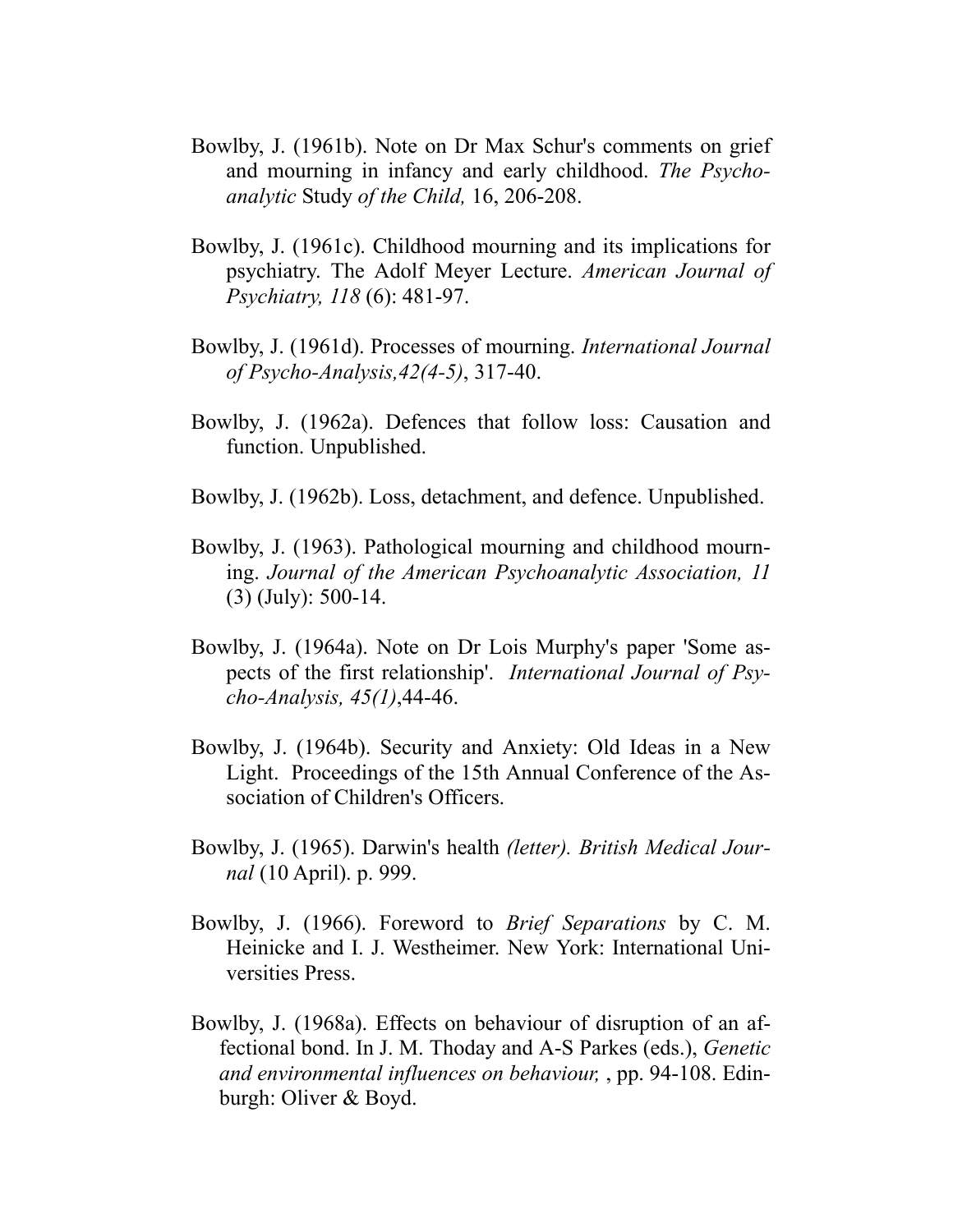- Bowlby, J. (1961b). Note on Dr Max Schur's comments on grief and mourning in infancy and early childhood. *The Psychoanalytic* Study *of the Child,* 16, 206-208.
- Bowlby, J. (1961c). Childhood mourning and its implications for psychiatry. The Adolf Meyer Lecture. *American Journal of Psychiatry, 118* (6): 481-97.
- Bowlby, J. (1961d). Processes of mourning. *International Journal of Psycho-Analysis,42(4-5)*, 317-40.
- Bowlby, J. (1962a). Defences that follow loss: Causation and function. Unpublished.
- Bowlby, J. (1962b). Loss, detachment, and defence. Unpublished.
- Bowlby, J. (1963). Pathological mourning and childhood mourning. *Journal of the American Psychoanalytic Association, 11* (3) (July): 500-14.
- Bowlby, J. (1964a). Note on Dr Lois Murphy's paper 'Some aspects of the first relationship'. *International Journal of Psycho-Analysis, 45(1)*,44-46.
- Bowlby, J. (1964b). Security and Anxiety: Old Ideas in a New Light. Proceedings of the 15th Annual Conference of the Association of Children's Officers.
- Bowlby, J. (1965). Darwin's health *(letter). British Medical Journal* (10 April). p. 999.
- Bowlby, J. (1966). Foreword to *Brief Separations* by C. M. Heinicke and I. J. Westheimer. New York: International Universities Press.
- Bowlby, J. (1968a). Effects on behaviour of disruption of an affectional bond. In J. M. Thoday and A-S Parkes (eds.), *Genetic and environmental influences on behaviour,* , pp. 94-108. Edinburgh: Oliver & Boyd.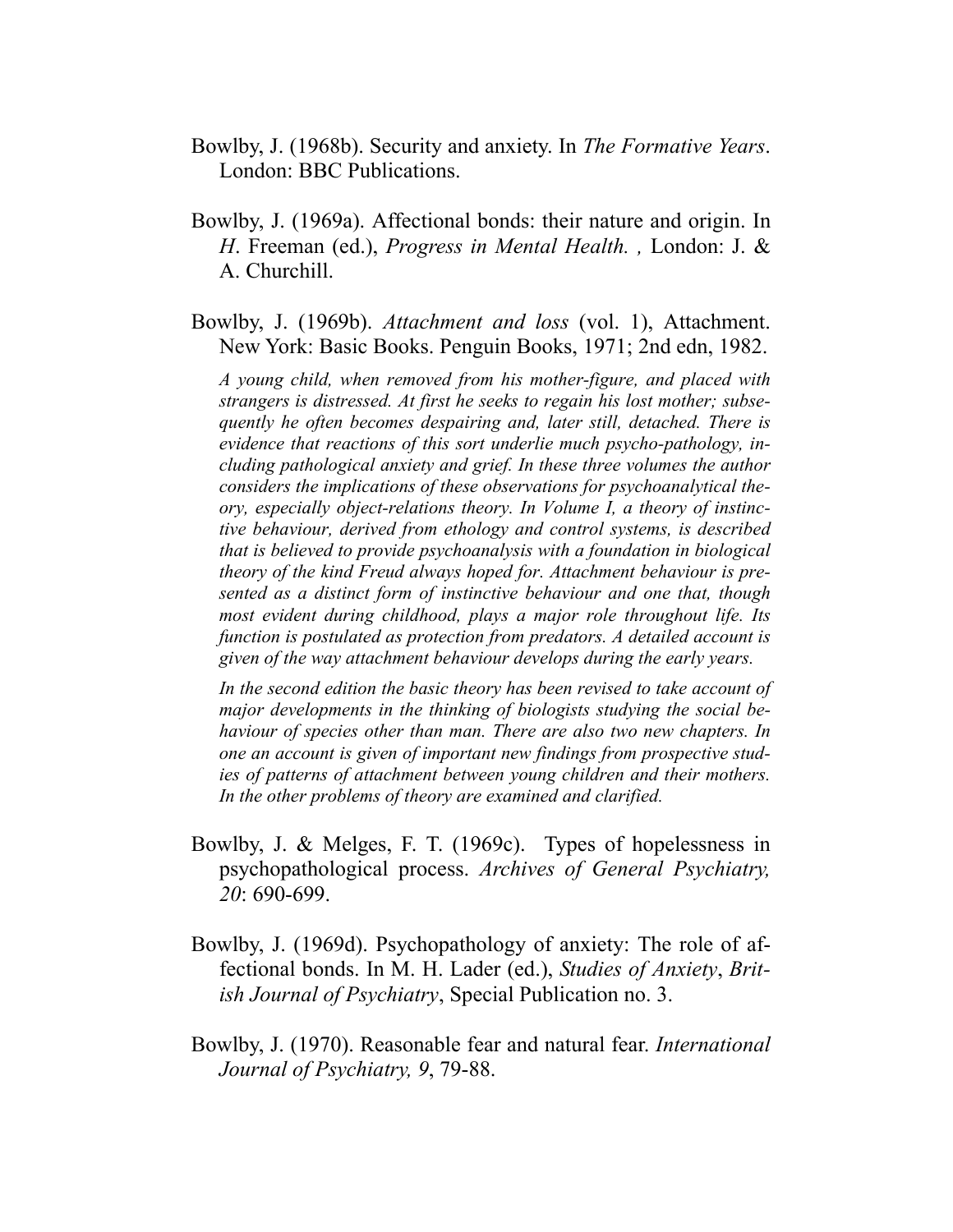- Bowlby, J. (1968b). Security and anxiety. In *The Formative Years*. London: BBC Publications.
- Bowlby, J. (1969a). Affectional bonds: their nature and origin. In *H*. Freeman (ed.), *Progress in Mental Health. ,* London: J. & A. Churchill.
- Bowlby, J. (1969b). *Attachment and loss* (vol. 1), Attachment. New York: Basic Books. Penguin Books, 1971; 2nd edn, 1982.

*A young child, when removed from his mother-figure, and placed with strangers is distressed. At first he seeks to regain his lost mother; subsequently he often becomes despairing and, later still, detached. There is evidence that reactions of this sort underlie much psycho-pathology, including pathological anxiety and grief. In these three volumes the author considers the implications of these observations for psychoanalytical theory, especially object-relations theory. In Volume I, a theory of instinctive behaviour, derived from ethology and control systems, is described that is believed to provide psychoanalysis with a foundation in biological theory of the kind Freud always hoped for. Attachment behaviour is presented as a distinct form of instinctive behaviour and one that, though most evident during childhood, plays a major role throughout life. Its function is postulated as protection from predators. A detailed account is given of the way attachment behaviour develops during the early years.* 

*In the second edition the basic theory has been revised to take account of major developments in the thinking of biologists studying the social behaviour of species other than man. There are also two new chapters. In one an account is given of important new findings from prospective studies of patterns of attachment between young children and their mothers. In the other problems of theory are examined and clarified.* 

- Bowlby, J. & Melges, F. T. (1969c). Types of hopelessness in psychopathological process. *Archives of General Psychiatry, 20*: 690-699.
- Bowlby, J. (1969d). Psychopathology of anxiety: The role of affectional bonds. In M. H. Lader (ed.), *Studies of Anxiety*, *British Journal of Psychiatry*, Special Publication no. 3.
- Bowlby, J. (1970). Reasonable fear and natural fear. *International Journal of Psychiatry, 9*, 79-88.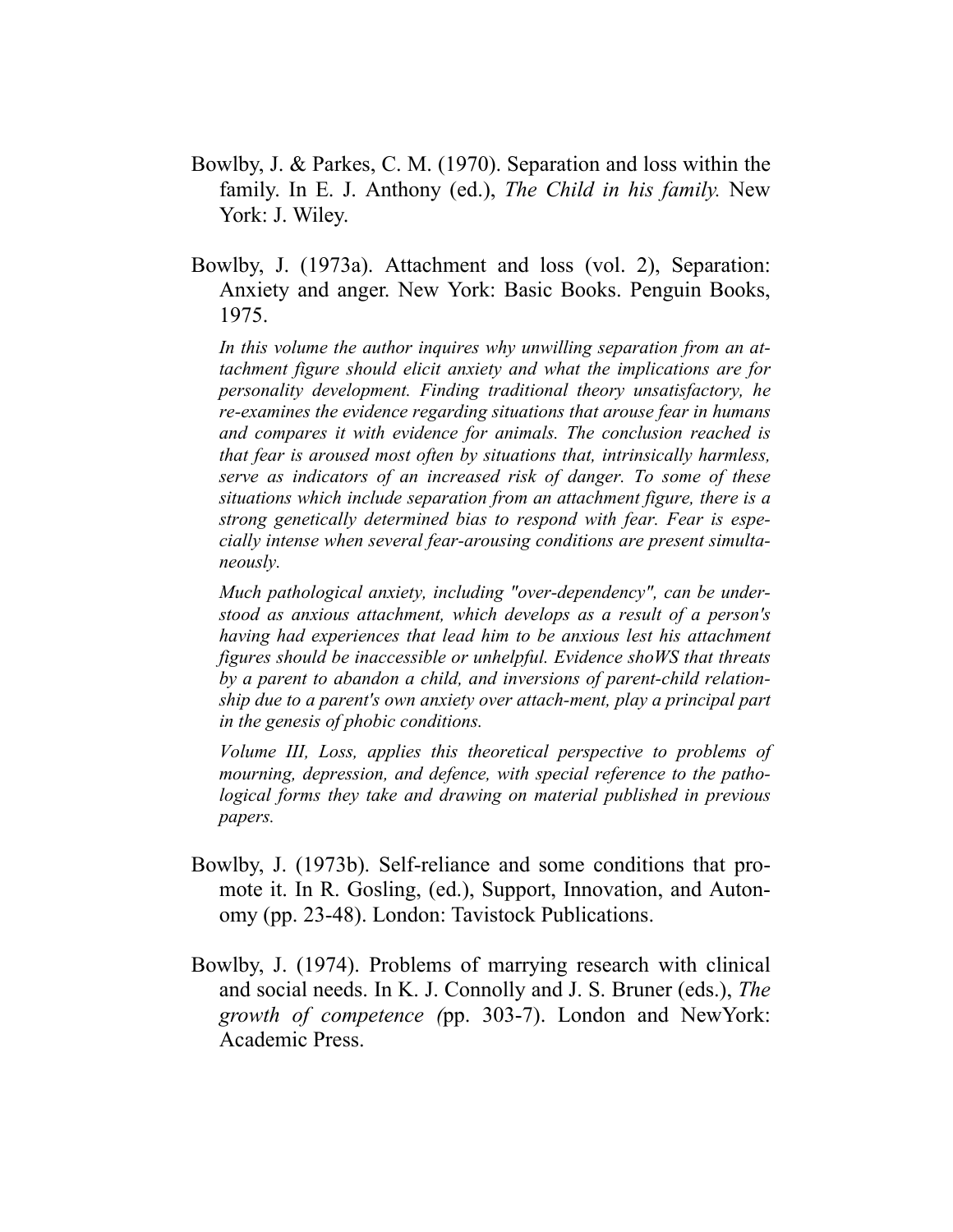- Bowlby, J. & Parkes, C. M. (1970). Separation and loss within the family. In E. J. Anthony (ed.), *The Child in his family.* New York: J. Wiley.
- Bowlby, J. (1973a). Attachment and loss (vol. 2), Separation: Anxiety and anger. New York: Basic Books. Penguin Books, 1975.

*In this volume the author inquires why unwilling separation from an attachment figure should elicit anxiety and what the implications are for personality development. Finding traditional theory unsatisfactory, he re-examines the evidence regarding situations that arouse fear in humans and compares it with evidence for animals. The conclusion reached is that fear is aroused most often by situations that, intrinsically harmless, serve as indicators of an increased risk of danger. To some of these situations which include separation from an attachment figure, there is a strong genetically determined bias to respond with fear. Fear is especially intense when several fear-arousing conditions are present simultaneously.* 

*Much pathological anxiety, including "over-dependency", can be understood as anxious attachment, which develops as a result of a person's having had experiences that lead him to be anxious lest his attachment figures should be inaccessible or unhelpful. Evidence shoWS that threats by a parent to abandon a child, and inversions of parent-child relationship due to a parent's own anxiety over attach-ment, play a principal part in the genesis of phobic conditions.* 

*Volume III, Loss, applies this theoretical perspective to problems of mourning, depression, and defence, with special reference to the pathological forms they take and drawing on material published in previous papers.* 

- Bowlby, J. (1973b). Self-reliance and some conditions that promote it. In R. Gosling, (ed.), Support, Innovation, and Autonomy (pp. 23-48). London: Tavistock Publications.
- Bowlby, J. (1974). Problems of marrying research with clinical and social needs. In K. J. Connolly and J. S. Bruner (eds.), *The growth of competence (*pp. 303-7). London and NewYork: Academic Press.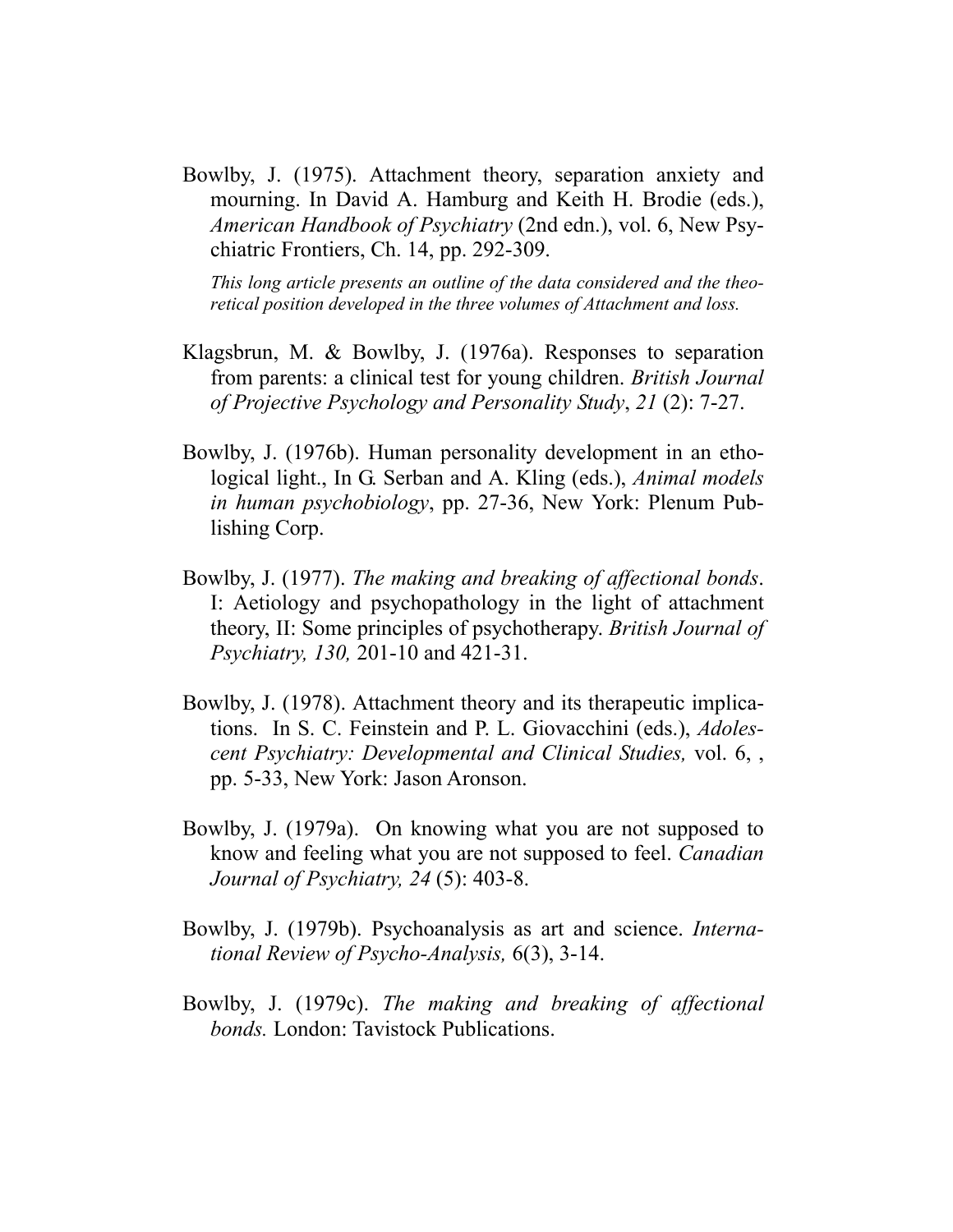Bowlby, J. (1975). Attachment theory, separation anxiety and mourning. In David A. Hamburg and Keith H. Brodie (eds.), *American Handbook of Psychiatry* (2nd edn.), vol. 6, New Psychiatric Frontiers, Ch. 14, pp. 292-309.

*This long article presents an outline of the data considered and the theoretical position developed in the three volumes of Attachment and loss.* 

- Klagsbrun, M. & Bowlby, J. (1976a). Responses to separation from parents: a clinical test for young children. *British Journal of Projective Psychology and Personality Study*, *21* (2): 7-27.
- Bowlby, J. (1976b). Human personality development in an ethological light., In G. Serban and A. Kling (eds.), *Animal models in human psychobiology*, pp. 27-36, New York: Plenum Publishing Corp.
- Bowlby, J. (1977). *The making and breaking of affectional bonds*. I: Aetiology and psychopathology in the light of attachment theory, II: Some principles of psychotherapy. *British Journal of Psychiatry, 130,* 201-10 and 421-31.
- Bowlby, J. (1978). Attachment theory and its therapeutic implications. In S. C. Feinstein and P. L. Giovacchini (eds.), *Adolescent Psychiatry: Developmental and Clinical Studies,* vol. 6, , pp. 5-33, New York: Jason Aronson.
- Bowlby, J. (1979a). On knowing what you are not supposed to know and feeling what you are not supposed to feel. *Canadian Journal of Psychiatry, 24* (5): 403-8.
- Bowlby, J. (1979b). Psychoanalysis as art and science. *International Review of Psycho-Analysis,* 6(3), 3-14.
- Bowlby, J. (1979c). *The making and breaking of affectional bonds.* London: Tavistock Publications.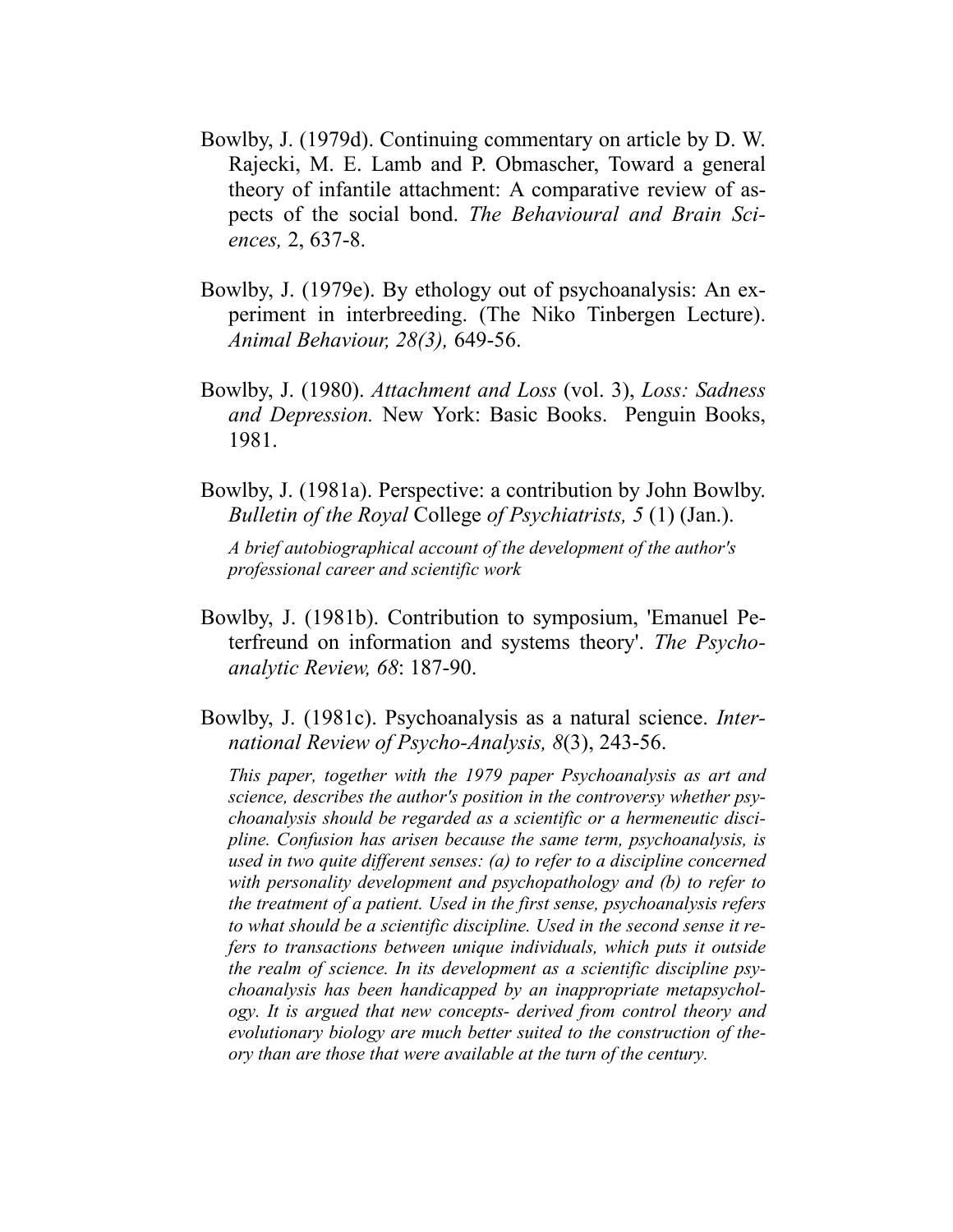- Bowlby, J. (1979d). Continuing commentary on article by D. W. Rajecki, M. E. Lamb and P. Obmascher, Toward a general theory of infantile attachment: A comparative review of aspects of the social bond. *The Behavioural and Brain Sciences,* 2, 637-8.
- Bowlby, J. (1979e). By ethology out of psychoanalysis: An experiment in interbreeding. (The Niko Tinbergen Lecture). *Animal Behaviour, 28(3),* 649-56.
- Bowlby, J. (1980). *Attachment and Loss* (vol. 3), *Loss: Sadness and Depression.* New York: Basic Books. Penguin Books, 1981.
- Bowlby, J. (1981a). Perspective: a contribution by John Bowlby. *Bulletin of the Royal* College *of Psychiatrists, 5* (1) (Jan.).

*A brief autobiographical account of the development of the author's professional career and scientific work* 

- Bowlby, J. (1981b). Contribution to symposium, 'Emanuel Peterfreund on information and systems theory'. *The Psychoanalytic Review, 68*: 187-90.
- Bowlby, J. (1981c). Psychoanalysis as a natural science. *International Review of Psycho-Analysis, 8*(3), 243-56.

*This paper, together with the 1979 paper Psychoanalysis as art and science, describes the author's position in the controversy whether psychoanalysis should be regarded as a scientific or a hermeneutic discipline. Confusion has arisen because the same term, psychoanalysis, is used in two quite different senses: (a) to refer to a discipline concerned with personality development and psychopathology and (b) to refer to the treatment of a patient. Used in the first sense, psychoanalysis refers to what should be a scientific discipline. Used in the second sense it refers to transactions between unique individuals, which puts it outside the realm of science. In its development as a scientific discipline psychoanalysis has been handicapped by an inappropriate metapsychology. It is argued that new concepts- derived from control theory and evolutionary biology are much better suited to the construction of theory than are those that were available at the turn of the century.*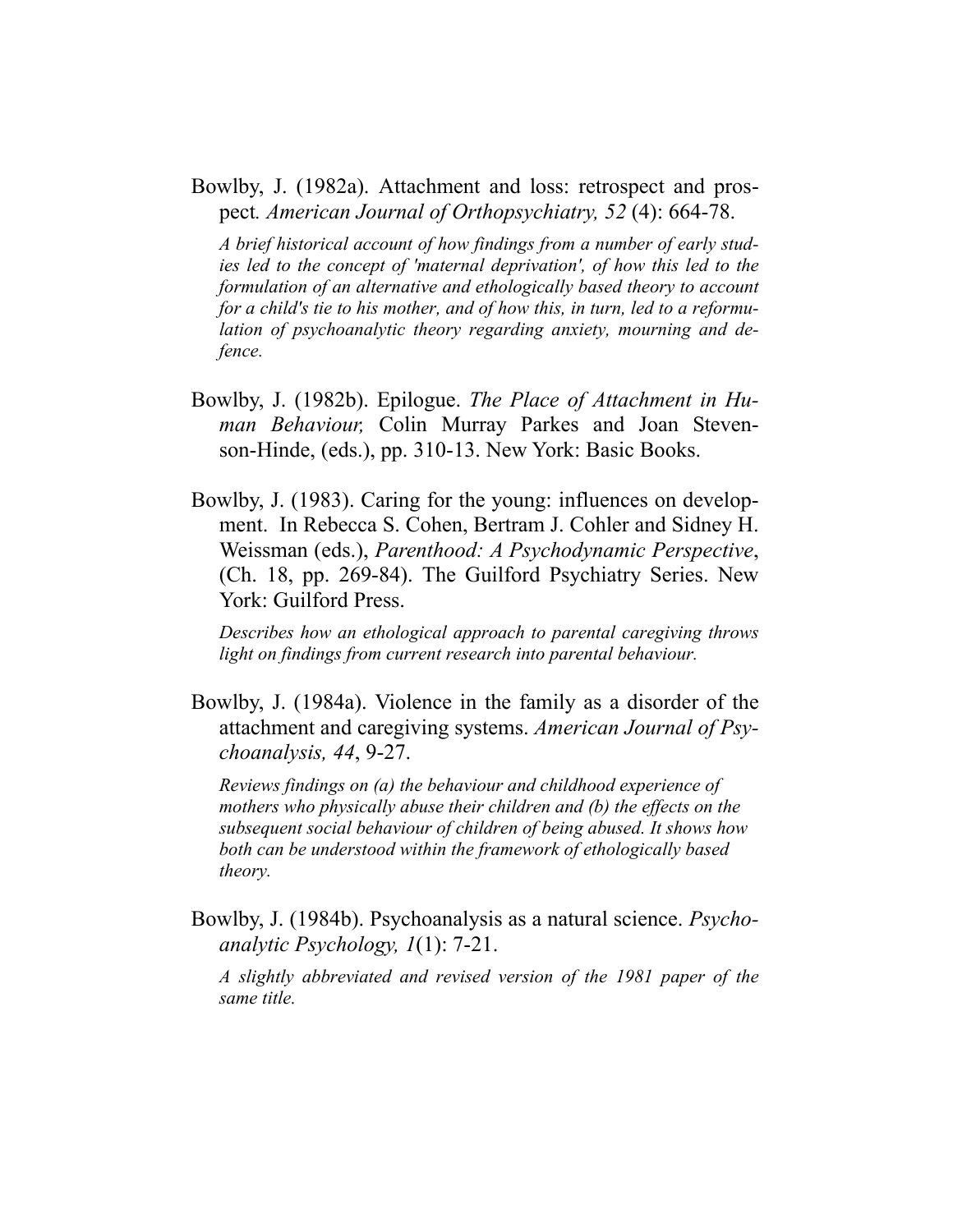Bowlby, J. (1982a). Attachment and loss: retrospect and prospect*. American Journal of Orthopsychiatry, 52* (4): 664-78.

*A brief historical account of how findings from a number of early studies led to the concept of 'maternal deprivation', of how this led to the formulation of an alternative and ethologically based theory to account for a child's tie to his mother, and of how this, in turn, led to a reformulation of psychoanalytic theory regarding anxiety, mourning and defence.* 

- Bowlby, J. (1982b). Epilogue. *The Place of Attachment in Human Behaviour,* Colin Murray Parkes and Joan Stevenson-Hinde, (eds.), pp. 310-13. New York: Basic Books.
- Bowlby, J. (1983). Caring for the young: influences on development. In Rebecca S. Cohen, Bertram J. Cohler and Sidney H. Weissman (eds.), *Parenthood: A Psychodynamic Perspective*, (Ch. 18, pp. 269-84). The Guilford Psychiatry Series. New York: Guilford Press.

*Describes how an ethological approach to parental caregiving throws light on findings from current research into parental behaviour.* 

Bowlby, J. (1984a). Violence in the family as a disorder of the attachment and caregiving systems. *American Journal of Psychoanalysis, 44*, 9-27.

*Reviews findings on (a) the behaviour and childhood experience of mothers who physically abuse their children and (b) the effects on the subsequent social behaviour of children of being abused. It shows how both can be understood within the framework of ethologically based theory.* 

Bowlby, J. (1984b). Psychoanalysis as a natural science. *Psychoanalytic Psychology, 1*(1): 7-21.

*A slightly abbreviated and revised version of the 1981 paper of the same title.*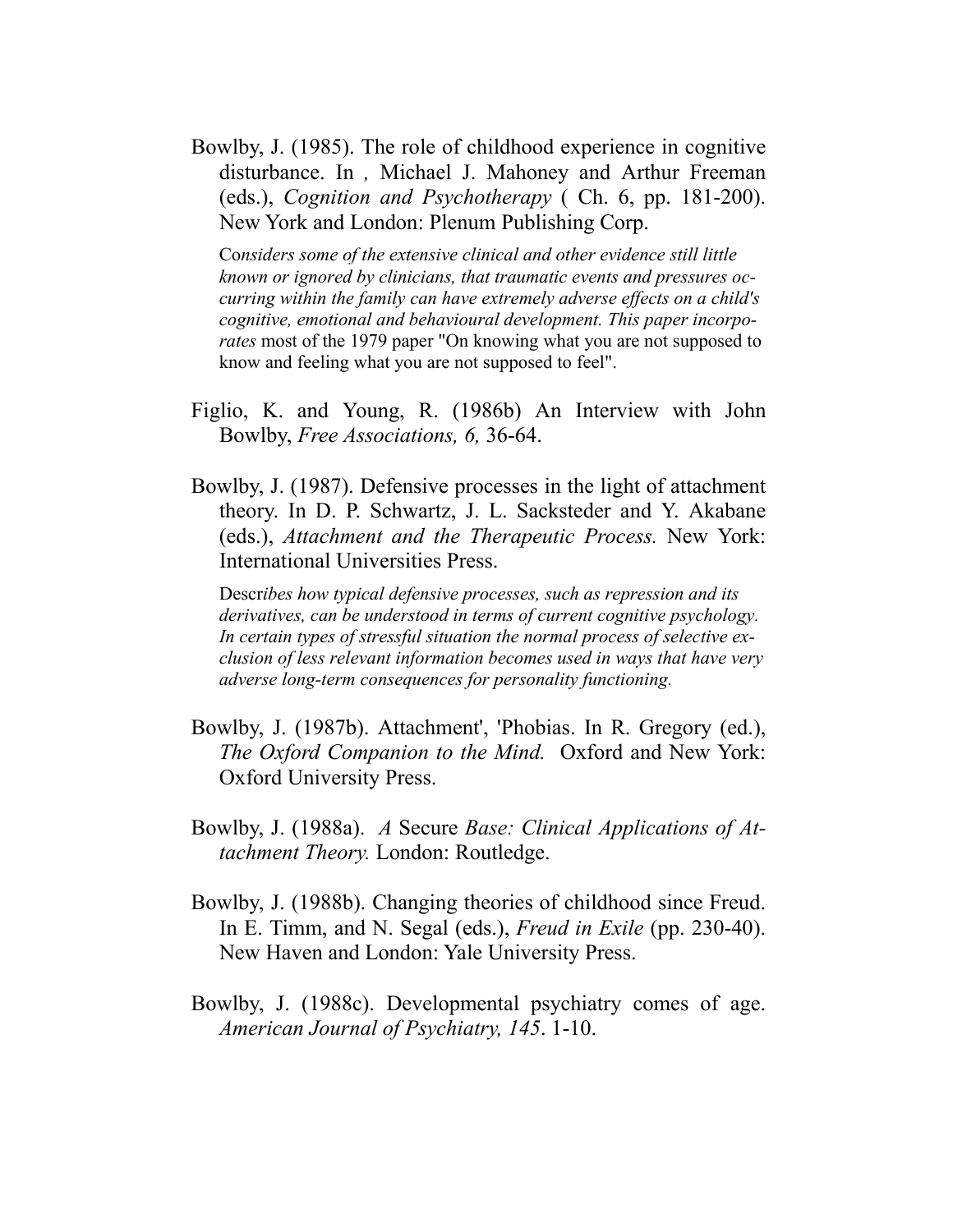Bowlby, J. (1985). The role of childhood experience in cognitive disturbance. In *,* Michael J. Mahoney and Arthur Freeman (eds.), *Cognition and Psychotherapy* ( Ch. 6, pp. 181-200). New York and London: Plenum Publishing Corp.

Co*nsiders some of the extensive clinical and other evidence still little known or ignored by clinicians, that traumatic events and pressures occurring within the family can have extremely adverse effects on a child's cognitive, emotional and behavioural development. This paper incorporates* most of the 1979 paper "On knowing what you are not supposed to know and feeling what you are not supposed to feel".

- Figlio, K. and Young, R. (1986b) An Interview with John Bowlby, *Free Associations, 6,* 36-64.
- Bowlby, J. (1987). Defensive processes in the light of attachment theory. In D. P. Schwartz, J. L. Sacksteder and Y. Akabane (eds.), *Attachment and the Therapeutic Process.* New York: International Universities Press.

Descr*ibes how typical defensive processes, such as repression and its derivatives, can be understood in terms of current cognitive psychology. In certain types of stressful situation the normal process of selective exclusion of less relevant information becomes used in ways that have very adverse long-term consequences for personality functioning.*

- Bowlby, J. (1987b). Attachment', 'Phobias. In R. Gregory (ed.), *The Oxford Companion to the Mind.* Oxford and New York: Oxford University Press.
- Bowlby, J. (1988a). *A* Secure *Base: Clinical Applications of Attachment Theory.* London: Routledge.
- Bowlby, J. (1988b). Changing theories of childhood since Freud. In E. Timm, and N. Segal (eds.), *Freud in Exile* (pp. 230-40). New Haven and London: Yale University Press.
- Bowlby, J. (1988c). Developmental psychiatry comes of age. *American Journal of Psychiatry, 145*. 1-10.